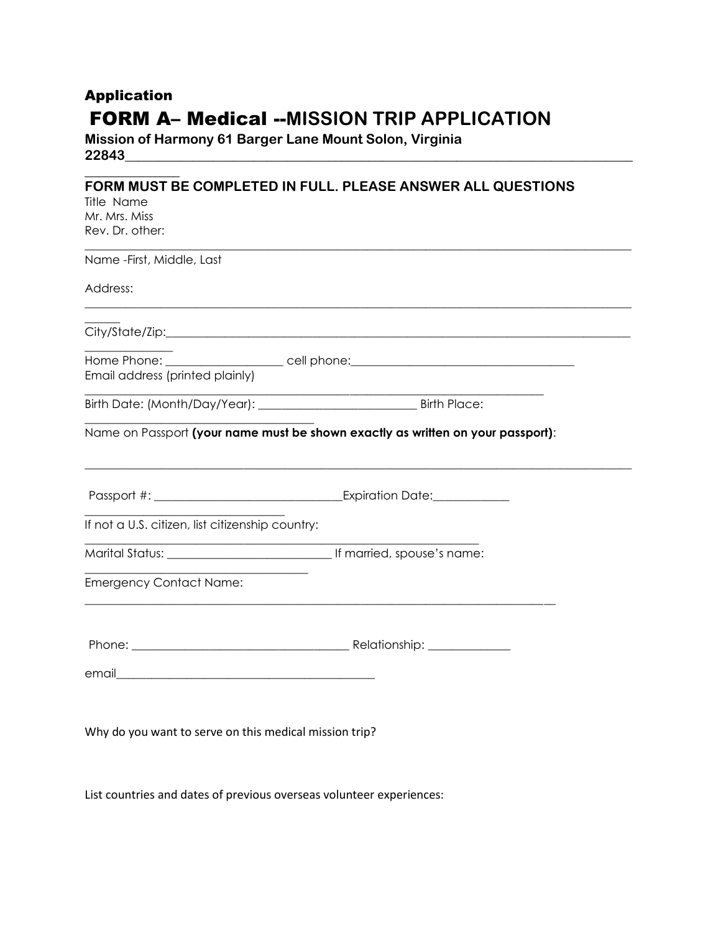# Application FORM A– Medical --**MISSION TRIP APPLICATION**

**Mission of Harmony 61 Barger Lane Mount Solon, Virginia 22843\_\_\_\_\_\_\_\_\_\_\_\_\_\_\_\_\_\_\_\_\_\_\_\_\_\_\_\_\_\_\_\_\_\_\_\_\_\_\_\_\_\_\_\_\_\_\_\_\_\_\_\_\_\_\_\_\_\_\_\_\_\_\_\_\_\_\_\_\_\_\_\_\_\_\_**

**\_\_\_\_\_\_\_\_\_\_\_\_\_\_** 

#### **FORM MUST BE COMPLETED IN FULL. PLEASE ANSWER ALL QUESTIONS**   $T^*$ itle Name

| litle Name                                             |                                                                                                                        |
|--------------------------------------------------------|------------------------------------------------------------------------------------------------------------------------|
| Mr. Mrs. Miss                                          |                                                                                                                        |
| Rev. Dr. other:                                        |                                                                                                                        |
| Name - First, Middle, Last                             |                                                                                                                        |
| Address:                                               | <u> 1989 - Johann Harry Harry Harry Harry Harry Harry Harry Harry Harry Harry Harry Harry Harry Harry Harry Harry</u>  |
|                                                        |                                                                                                                        |
| Email address (printed plainly)                        | Home Phone: ______________________ cell phone: _________________________________                                       |
|                                                        | <u> 1989 - Johann Stoff, deutscher Stoffen und der Stoffen und der Stoffen und der Stoffen und der Stoffen und der</u> |
|                                                        | Name on Passport (your name must be shown exactly as written on your passport):                                        |
|                                                        |                                                                                                                        |
| If not a U.S. citizen, list citizenship country:       |                                                                                                                        |
|                                                        |                                                                                                                        |
| <b>Emergency Contact Name:</b>                         |                                                                                                                        |
|                                                        |                                                                                                                        |
|                                                        |                                                                                                                        |
| Why do you want to serve on this medical mission trip? |                                                                                                                        |

List countries and dates of previous overseas volunteer experiences: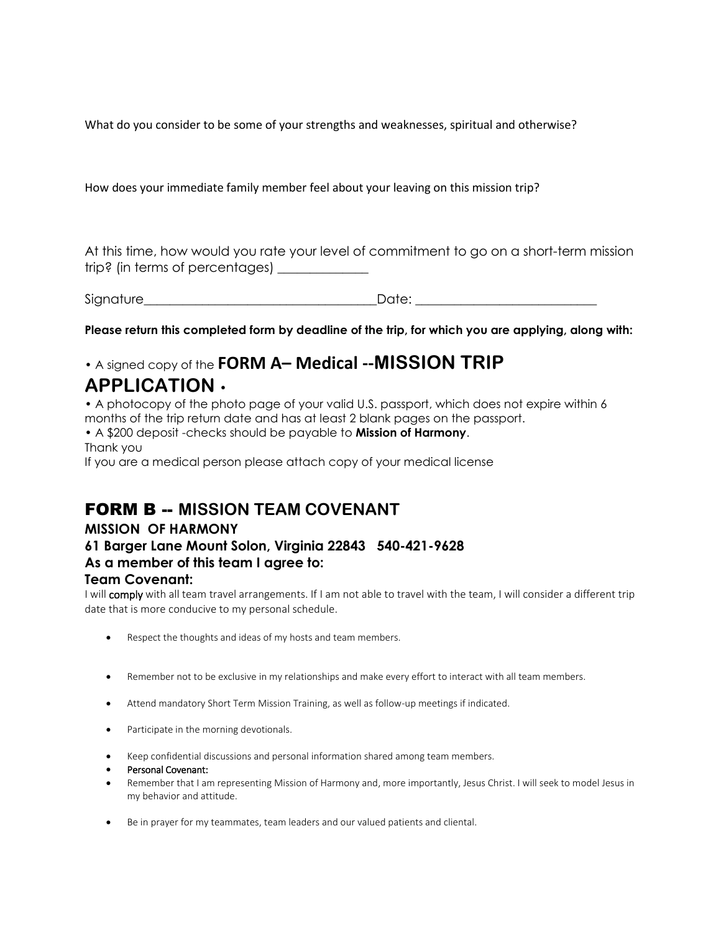What do you consider to be some of your strengths and weaknesses, spiritual and otherwise?

How does your immediate family member feel about your leaving on this mission trip?

At this time, how would you rate your level of commitment to go on a short-term mission trip? (in terms of percentages) \_\_\_\_\_\_\_\_\_\_\_\_\_

Signature entitled the state of the Date:

**Please return this completed form by deadline of the trip, for which you are applying, along with:** 

## • A signed copy of the **FORM A– Medical --MISSION TRIP**

# **APPLICATION** •

• A photocopy of the photo page of your valid U.S. passport, which does not expire within 6 months of the trip return date and has at least 2 blank pages on the passport.

• A \$200 deposit -checks should be payable to **Mission of Harmony**. Thank you

If you are a medical person please attach copy of your medical license

## FORM B -- **MISSION TEAM COVENANT**

#### **MISSION OF HARMONY**

### **61 Barger Lane Mount Solon, Virginia 22843 540-421-9628 As a member of this team I agree to:**

#### **Team Covenant:**

I will comply with all team travel arrangements. If I am not able to travel with the team, I will consider a different trip date that is more conducive to my personal schedule.

- Respect the thoughts and ideas of my hosts and team members.
- Remember not to be exclusive in my relationships and make every effort to interact with all team members.
- Attend mandatory Short Term Mission Training, as well as follow-up meetings if indicated.
- Participate in the morning devotionals.
- Keep confidential discussions and personal information shared among team members.
- Personal Covenant:
- Remember that I am representing Mission of Harmony and, more importantly, Jesus Christ. I will seek to model Jesus in my behavior and attitude.
- Be in prayer for my teammates, team leaders and our valued patients and cliental.